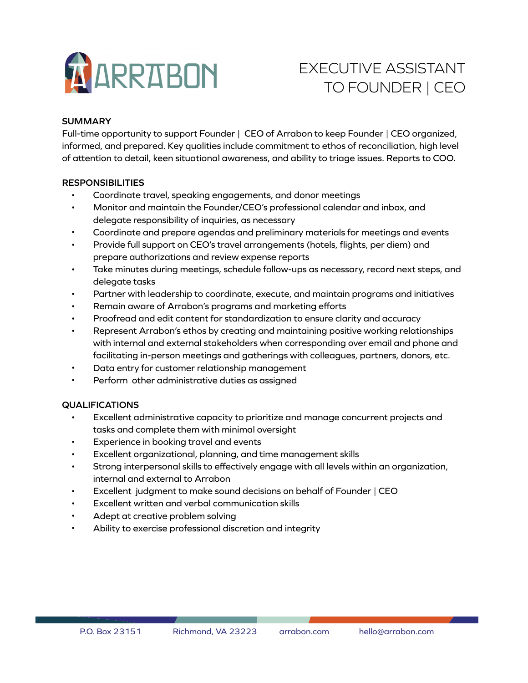

# EXECUTIVE ASSISTANT TO FOUNDER | CEO

## **SUMMARY**

Full-time opportunity to support Founder | CEO of Arrabon to keep Founder | CEO organized, informed, and prepared. Key qualities include commitment to ethos of reconciliation, high level of attention to detail, keen situational awareness, and ability to triage issues. Reports to COO.

## **RESPONSIBILITIES**

- Coordinate travel, speaking engagements, and donor meetings
- Monitor and maintain the Founder/CEO's professional calendar and inbox, and delegate responsibility of inquiries, as necessary
- Coordinate and prepare agendas and preliminary materials for meetings and events
- Provide full support on CEO's travel arrangements (hotels, flights, per diem) and prepare authorizations and review expense reports
- Take minutes during meetings, schedule follow-ups as necessary, record next steps, and delegate tasks
- Partner with leadership to coordinate, execute, and maintain programs and initiatives
- Remain aware of Arrabon's programs and marketing efforts
- Proofread and edit content for standardization to ensure clarity and accuracy
- Represent Arrabon's ethos by creating and maintaining positive working relationships with internal and external stakeholders when corresponding over email and phone and facilitating in-person meetings and gatherings with colleagues, partners, donors, etc.
- Data entry for customer relationship management
- Perform other administrative duties as assigned

### **QUALIFICATIONS**

- Excellent administrative capacity to prioritize and manage concurrent projects and tasks and complete them with minimal oversight
- Experience in booking travel and events
- Excellent organizational, planning, and time management skills
- Strong interpersonal skills to effectively engage with all levels within an organization, internal and external to Arrabon
- Excellent judgment to make sound decisions on behalf of Founder | CEO
- Excellent written and verbal communication skills
- Adept at creative problem solving
- Ability to exercise professional discretion and integrity